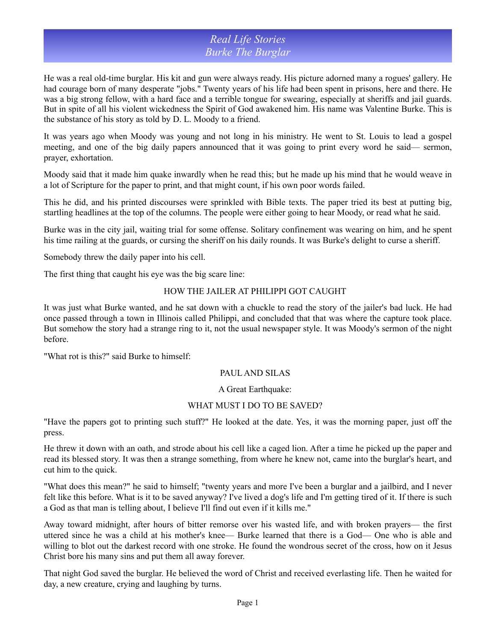### *Real Life Stories Burke The Burglar*

He was a real old-time burglar. His kit and gun were always ready. His picture adorned many a rogues' gallery. He had courage born of many desperate "jobs." Twenty years of his life had been spent in prisons, here and there. He was a big strong fellow, with a hard face and a terrible tongue for swearing, especially at sheriffs and jail guards. But in spite of all his violent wickedness the Spirit of God awakened him. His name was Valentine Burke. This is the substance of his story as told by D. L. Moody to a friend.

It was years ago when Moody was young and not long in his ministry. He went to St. Louis to lead a gospel meeting, and one of the big daily papers announced that it was going to print every word he said— sermon, prayer, exhortation.

Moody said that it made him quake inwardly when he read this; but he made up his mind that he would weave in a lot of Scripture for the paper to print, and that might count, if his own poor words failed.

This he did, and his printed discourses were sprinkled with Bible texts. The paper tried its best at putting big, startling headlines at the top of the columns. The people were either going to hear Moody, or read what he said.

Burke was in the city jail, waiting trial for some offense. Solitary confinement was wearing on him, and he spent his time railing at the guards, or cursing the sheriff on his daily rounds. It was Burke's delight to curse a sheriff.

Somebody threw the daily paper into his cell.

The first thing that caught his eye was the big scare line:

#### HOW THE JAILER AT PHILIPPI GOT CAUGHT

It was just what Burke wanted, and he sat down with a chuckle to read the story of the jailer's bad luck. He had once passed through a town in Illinois called Philippi, and concluded that that was where the capture took place. But somehow the story had a strange ring to it, not the usual newspaper style. It was Moody's sermon of the night before.

"What rot is this?" said Burke to himself:

#### PAUL AND SILAS

#### A Great Earthquake:

### WHAT MUST I DO TO BE SAVED?

"Have the papers got to printing such stuff?" He looked at the date. Yes, it was the morning paper, just off the press.

He threw it down with an oath, and strode about his cell like a caged lion. After a time he picked up the paper and read its blessed story. It was then a strange something, from where he knew not, came into the burglar's heart, and cut him to the quick.

"What does this mean?" he said to himself; "twenty years and more I've been a burglar and a jailbird, and I never felt like this before. What is it to be saved anyway? I've lived a dog's life and I'm getting tired of it. If there is such a God as that man is telling about, I believe I'll find out even if it kills me."

Away toward midnight, after hours of bitter remorse over his wasted life, and with broken prayers— the first uttered since he was a child at his mother's knee— Burke learned that there is a God— One who is able and willing to blot out the darkest record with one stroke. He found the wondrous secret of the cross, how on it Jesus Christ bore his many sins and put them all away forever.

That night God saved the burglar. He believed the word of Christ and received everlasting life. Then he waited for day, a new creature, crying and laughing by turns.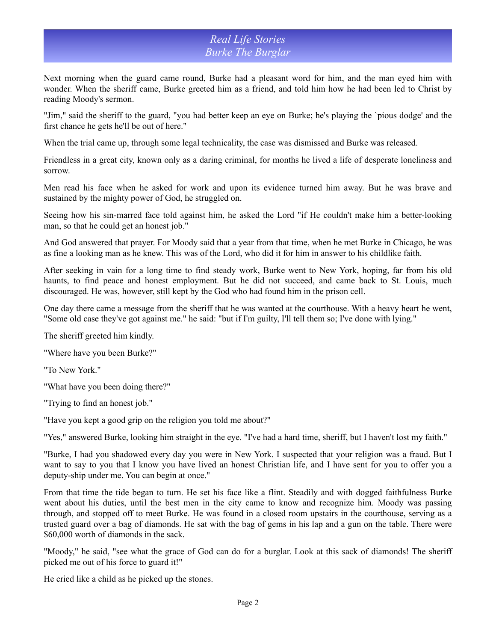# *Real Life Stories Burke The Burglar*

Next morning when the guard came round, Burke had a pleasant word for him, and the man eyed him with wonder. When the sheriff came, Burke greeted him as a friend, and told him how he had been led to Christ by reading Moody's sermon.

"Jim," said the sheriff to the guard, "you had better keep an eye on Burke; he's playing the `pious dodge' and the first chance he gets he'll be out of here."

When the trial came up, through some legal technicality, the case was dismissed and Burke was released.

Friendless in a great city, known only as a daring criminal, for months he lived a life of desperate loneliness and sorrow.

Men read his face when he asked for work and upon its evidence turned him away. But he was brave and sustained by the mighty power of God, he struggled on.

Seeing how his sin-marred face told against him, he asked the Lord "if He couldn't make him a better-looking man, so that he could get an honest job."

And God answered that prayer. For Moody said that a year from that time, when he met Burke in Chicago, he was as fine a looking man as he knew. This was of the Lord, who did it for him in answer to his childlike faith.

After seeking in vain for a long time to find steady work, Burke went to New York, hoping, far from his old haunts, to find peace and honest employment. But he did not succeed, and came back to St. Louis, much discouraged. He was, however, still kept by the God who had found him in the prison cell.

One day there came a message from the sheriff that he was wanted at the courthouse. With a heavy heart he went, "Some old case they've got against me." he said: "but if I'm guilty, I'll tell them so; I've done with lying."

The sheriff greeted him kindly.

"Where have you been Burke?"

"To New York."

"What have you been doing there?"

"Trying to find an honest job."

"Have you kept a good grip on the religion you told me about?"

"Yes," answered Burke, looking him straight in the eye. "I've had a hard time, sheriff, but I haven't lost my faith."

"Burke, I had you shadowed every day you were in New York. I suspected that your religion was a fraud. But I want to say to you that I know you have lived an honest Christian life, and I have sent for you to offer you a deputy-ship under me. You can begin at once."

From that time the tide began to turn. He set his face like a flint. Steadily and with dogged faithfulness Burke went about his duties, until the best men in the city came to know and recognize him. Moody was passing through, and stopped off to meet Burke. He was found in a closed room upstairs in the courthouse, serving as a trusted guard over a bag of diamonds. He sat with the bag of gems in his lap and a gun on the table. There were \$60,000 worth of diamonds in the sack.

"Moody," he said, "see what the grace of God can do for a burglar. Look at this sack of diamonds! The sheriff picked me out of his force to guard it!"

He cried like a child as he picked up the stones.